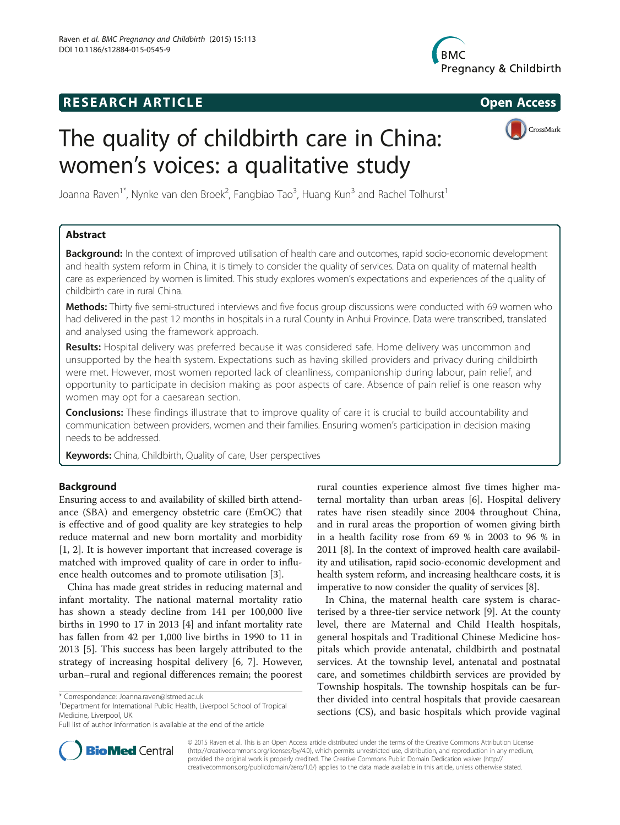## **RESEARCH ARTICLE Example 2014 CONSIDERING CONSIDERING CONSIDERING CONSIDERING CONSIDERING CONSIDERING CONSIDERING CONSIDERING CONSIDERING CONSIDERING CONSIDERING CONSIDERING CONSIDERING CONSIDERING CONSIDERING CONSIDE**



# The quality of childbirth care in China: women's voices: a qualitative study



Joanna Raven<sup>1\*</sup>, Nynke van den Broek<sup>2</sup>, Fangbiao Tao<sup>3</sup>, Huang Kun<sup>3</sup> and Rachel Tolhurst<sup>1</sup>

## Abstract

Background: In the context of improved utilisation of health care and outcomes, rapid socio-economic development and health system reform in China, it is timely to consider the quality of services. Data on quality of maternal health care as experienced by women is limited. This study explores women's expectations and experiences of the quality of childbirth care in rural China.

Methods: Thirty five semi-structured interviews and five focus group discussions were conducted with 69 women who had delivered in the past 12 months in hospitals in a rural County in Anhui Province. Data were transcribed, translated and analysed using the framework approach.

Results: Hospital delivery was preferred because it was considered safe. Home delivery was uncommon and unsupported by the health system. Expectations such as having skilled providers and privacy during childbirth were met. However, most women reported lack of cleanliness, companionship during labour, pain relief, and opportunity to participate in decision making as poor aspects of care. Absence of pain relief is one reason why women may opt for a caesarean section.

**Conclusions:** These findings illustrate that to improve quality of care it is crucial to build accountability and communication between providers, women and their families. Ensuring women's participation in decision making needs to be addressed.

Keywords: China, Childbirth, Quality of care, User perspectives

## Background

Ensuring access to and availability of skilled birth attendance (SBA) and emergency obstetric care (EmOC) that is effective and of good quality are key strategies to help reduce maternal and new born mortality and morbidity [[1, 2](#page-7-0)]. It is however important that increased coverage is matched with improved quality of care in order to influence health outcomes and to promote utilisation [\[3](#page-7-0)].

China has made great strides in reducing maternal and infant mortality. The national maternal mortality ratio has shown a steady decline from 141 per 100,000 live births in 1990 to 17 in 2013 [\[4](#page-7-0)] and infant mortality rate has fallen from 42 per 1,000 live births in 1990 to 11 in 2013 [\[5\]](#page-7-0). This success has been largely attributed to the strategy of increasing hospital delivery [[6](#page-7-0), [7\]](#page-7-0). However, urban–rural and regional differences remain; the poorest

<sup>1</sup>Department for International Public Health, Liverpool School of Tropical Medicine, Liverpool, UK

rural counties experience almost five times higher maternal mortality than urban areas [[6](#page-7-0)]. Hospital delivery rates have risen steadily since 2004 throughout China, and in rural areas the proportion of women giving birth in a health facility rose from 69 % in 2003 to 96 % in 2011 [\[8\]](#page-7-0). In the context of improved health care availability and utilisation, rapid socio-economic development and health system reform, and increasing healthcare costs, it is imperative to now consider the quality of services [\[8](#page-7-0)].

In China, the maternal health care system is characterised by a three-tier service network [[9\]](#page-7-0). At the county level, there are Maternal and Child Health hospitals, general hospitals and Traditional Chinese Medicine hospitals which provide antenatal, childbirth and postnatal services. At the township level, antenatal and postnatal care, and sometimes childbirth services are provided by Township hospitals. The township hospitals can be further divided into central hospitals that provide caesarean sections (CS), and basic hospitals which provide vaginal



© 2015 Raven et al. This is an Open Access article distributed under the terms of the Creative Commons Attribution License [\(http://creativecommons.org/licenses/by/4.0\)](http://creativecommons.org/licenses/by/4.0), which permits unrestricted use, distribution, and reproduction in any medium, provided the original work is properly credited. The Creative Commons Public Domain Dedication waiver [\(http://](http://creativecommons.org/publicdomain/zero/1.0/) [creativecommons.org/publicdomain/zero/1.0/\)](http://creativecommons.org/publicdomain/zero/1.0/) applies to the data made available in this article, unless otherwise stated.

<sup>\*</sup> Correspondence: [Joanna.raven@lstmed.ac.uk](mailto:Joanna.raven@lstmed.ac.uk) <sup>1</sup>

Full list of author information is available at the end of the article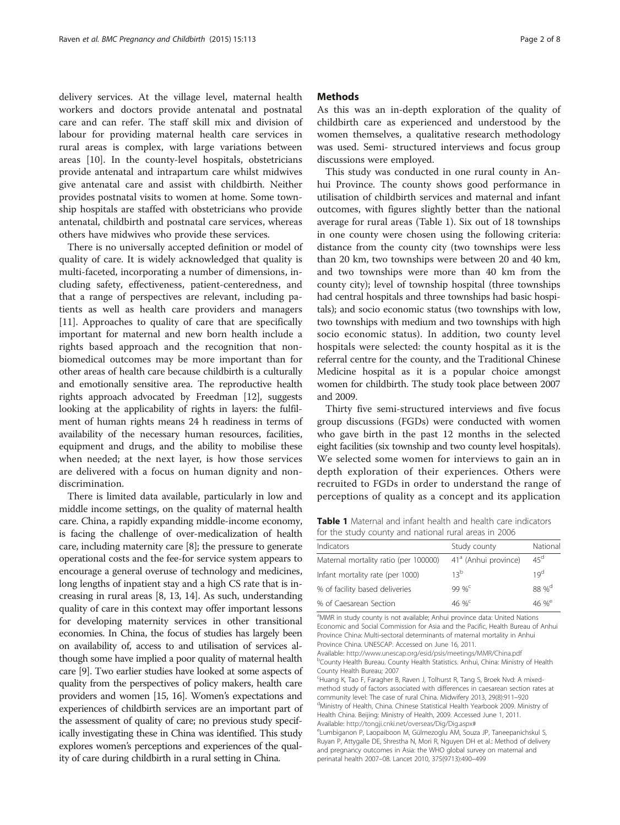delivery services. At the village level, maternal health workers and doctors provide antenatal and postnatal care and can refer. The staff skill mix and division of labour for providing maternal health care services in rural areas is complex, with large variations between areas [\[10\]](#page-7-0). In the county-level hospitals, obstetricians provide antenatal and intrapartum care whilst midwives give antenatal care and assist with childbirth. Neither provides postnatal visits to women at home. Some township hospitals are staffed with obstetricians who provide antenatal, childbirth and postnatal care services, whereas others have midwives who provide these services.

There is no universally accepted definition or model of quality of care. It is widely acknowledged that quality is multi-faceted, incorporating a number of dimensions, including safety, effectiveness, patient-centeredness, and that a range of perspectives are relevant, including patients as well as health care providers and managers [[11\]](#page-7-0). Approaches to quality of care that are specifically important for maternal and new born health include a rights based approach and the recognition that nonbiomedical outcomes may be more important than for other areas of health care because childbirth is a culturally and emotionally sensitive area. The reproductive health rights approach advocated by Freedman [\[12\]](#page-7-0), suggests looking at the applicability of rights in layers: the fulfilment of human rights means 24 h readiness in terms of availability of the necessary human resources, facilities, equipment and drugs, and the ability to mobilise these when needed; at the next layer, is how those services are delivered with a focus on human dignity and nondiscrimination.

There is limited data available, particularly in low and middle income settings, on the quality of maternal health care. China, a rapidly expanding middle-income economy, is facing the challenge of over-medicalization of health care, including maternity care [[8](#page-7-0)]; the pressure to generate operational costs and the fee-for service system appears to encourage a general overuse of technology and medicines, long lengths of inpatient stay and a high CS rate that is increasing in rural areas [[8](#page-7-0), [13](#page-7-0), [14](#page-7-0)]. As such, understanding quality of care in this context may offer important lessons for developing maternity services in other transitional economies. In China, the focus of studies has largely been on availability of, access to and utilisation of services although some have implied a poor quality of maternal health care [[9](#page-7-0)]. Two earlier studies have looked at some aspects of quality from the perspectives of policy makers, health care providers and women [\[15, 16\]](#page-7-0). Women's expectations and experiences of childbirth services are an important part of the assessment of quality of care; no previous study specifically investigating these in China was identified. This study explores women's perceptions and experiences of the quality of care during childbirth in a rural setting in China.

## **Methods**

As this was an in-depth exploration of the quality of childbirth care as experienced and understood by the women themselves, a qualitative research methodology was used. Semi- structured interviews and focus group discussions were employed.

This study was conducted in one rural county in Anhui Province. The county shows good performance in utilisation of childbirth services and maternal and infant outcomes, with figures slightly better than the national average for rural areas (Table 1). Six out of 18 townships in one county were chosen using the following criteria: distance from the county city (two townships were less than 20 km, two townships were between 20 and 40 km, and two townships were more than 40 km from the county city); level of township hospital (three townships had central hospitals and three townships had basic hospitals); and socio economic status (two townships with low, two townships with medium and two townships with high socio economic status). In addition, two county level hospitals were selected: the county hospital as it is the referral centre for the county, and the Traditional Chinese Medicine hospital as it is a popular choice amongst women for childbirth. The study took place between 2007 and 2009.

Thirty five semi-structured interviews and five focus group discussions (FGDs) were conducted with women who gave birth in the past 12 months in the selected eight facilities (six township and two county level hospitals). We selected some women for interviews to gain an in depth exploration of their experiences. Others were recruited to FGDs in order to understand the range of perceptions of quality as a concept and its application

Table 1 Maternal and infant health and health care indicators for the study county and national rural areas in 2006

| Indicators                            | Study county                     | National          |
|---------------------------------------|----------------------------------|-------------------|
| Maternal mortality ratio (per 100000) | 41 <sup>ª</sup> (Anhui province) | $45^d$            |
| Infant mortality rate (per 1000)      | 13 <sup>b</sup>                  | 19 <sup>d</sup>   |
| % of facility based deliveries        | 99 % $^{c}$                      | 88 % <sup>d</sup> |
| % of Caesarean Section                | 46 % <sup>c</sup>                | 46 % $^{\circ}$   |

<sup>a</sup>MMR in study county is not available; Anhui province data: United Nations Economic and Social Commission for Asia and the Pacific, Health Bureau of Anhui Province China: Multi-sectoral determinants of maternal mortality in Anhui Province China. UNESCAP. Accessed on June 16, 2011.

Available: <http://www.unescap.org/esid/psis/meetings/MMR/China.pdf> <sup>b</sup> <sup>b</sup>County Health Bureau. County Health Statistics. Anhui, China: Ministry of Health County Health Bureau; 2007

c Huang K, Tao F, Faragher B, Raven J, Tolhurst R, Tang S, Broek Nvd: A mixedmethod study of factors associated with differences in caesarean section rates at community level: The case of rural China. Midwifery 2013, 29(8):911–<sup>920</sup> <sup>d</sup> Ministry of Health, China. Chinese Statistical Health Yearbook 2009. Ministry of Health China. Beijing: Ministry of Health, 2009. Accessed June 1, 2011.<br>Available: http://tongii.cnki.net/overseas/Dig/Dig.aspx#

Available: <http://tongji.cnki.net/overseas/Dig/Dig.aspx#><br><sup>e</sup>Lumbiganon P, Laopaiboon M, Gülmezoglu AM, Souza JP, Taneepanichskul S Ruyan P, Attygalle DE, Shrestha N, Mori R, Nguyen DH et al.: Method of delivery and pregnancy outcomes in Asia: the WHO global survey on maternal and perinatal health 2007–08. Lancet 2010, 375(9713):490–499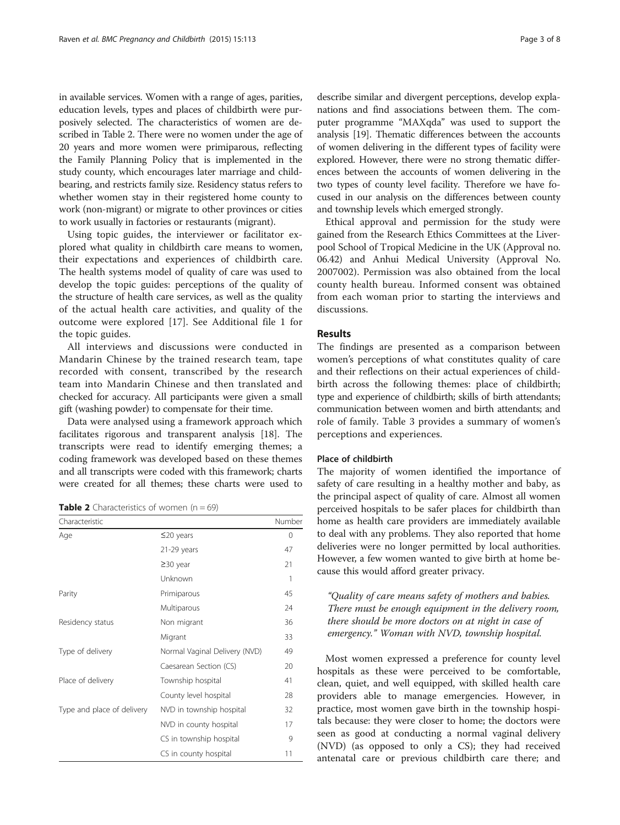in available services. Women with a range of ages, parities, education levels, types and places of childbirth were purposively selected. The characteristics of women are described in Table 2. There were no women under the age of 20 years and more women were primiparous, reflecting the Family Planning Policy that is implemented in the study county, which encourages later marriage and childbearing, and restricts family size. Residency status refers to whether women stay in their registered home county to work (non-migrant) or migrate to other provinces or cities to work usually in factories or restaurants (migrant).

Using topic guides, the interviewer or facilitator explored what quality in childbirth care means to women, their expectations and experiences of childbirth care. The health systems model of quality of care was used to develop the topic guides: perceptions of the quality of the structure of health care services, as well as the quality of the actual health care activities, and quality of the outcome were explored [\[17](#page-7-0)]. See Additional file [1](#page-7-0) for the topic guides.

All interviews and discussions were conducted in Mandarin Chinese by the trained research team, tape recorded with consent, transcribed by the research team into Mandarin Chinese and then translated and checked for accuracy. All participants were given a small gift (washing powder) to compensate for their time.

Data were analysed using a framework approach which facilitates rigorous and transparent analysis [[18](#page-7-0)]. The transcripts were read to identify emerging themes; a coding framework was developed based on these themes and all transcripts were coded with this framework; charts were created for all themes; these charts were used to

**Table 2** Characteristics of women  $(n - 69)$ 

| Characteristic             |                               | Number |
|----------------------------|-------------------------------|--------|
| Age                        | $\leq$ 20 years               | 0      |
|                            | $21-29$ years                 | 47     |
|                            | $\geq$ 30 year                | 21     |
|                            | Unknown                       | 1      |
| Parity                     | Primiparous                   | 45     |
|                            | Multiparous                   | 24     |
| Residency status           | Non migrant                   | 36     |
|                            | Migrant                       | 33     |
| Type of delivery           | Normal Vaginal Delivery (NVD) | 49     |
|                            | Caesarean Section (CS)        | 20     |
| Place of delivery          | Township hospital             | 41     |
|                            | County level hospital         | 28     |
| Type and place of delivery | NVD in township hospital      | 32     |
|                            | NVD in county hospital        | 17     |
|                            | CS in township hospital       | 9      |
|                            | CS in county hospital         | 11     |

describe similar and divergent perceptions, develop explanations and find associations between them. The computer programme "MAXqda" was used to support the analysis [\[19\]](#page-7-0). Thematic differences between the accounts of women delivering in the different types of facility were explored. However, there were no strong thematic differences between the accounts of women delivering in the two types of county level facility. Therefore we have focused in our analysis on the differences between county and township levels which emerged strongly.

Ethical approval and permission for the study were gained from the Research Ethics Committees at the Liverpool School of Tropical Medicine in the UK (Approval no. 06.42) and Anhui Medical University (Approval No. 2007002). Permission was also obtained from the local county health bureau. Informed consent was obtained from each woman prior to starting the interviews and discussions.

## Results

The findings are presented as a comparison between women's perceptions of what constitutes quality of care and their reflections on their actual experiences of childbirth across the following themes: place of childbirth; type and experience of childbirth; skills of birth attendants; communication between women and birth attendants; and role of family. Table [3](#page-3-0) provides a summary of women's perceptions and experiences.

#### Place of childbirth

The majority of women identified the importance of safety of care resulting in a healthy mother and baby, as the principal aspect of quality of care. Almost all women perceived hospitals to be safer places for childbirth than home as health care providers are immediately available to deal with any problems. They also reported that home deliveries were no longer permitted by local authorities. However, a few women wanted to give birth at home because this would afford greater privacy.

"Quality of care means safety of mothers and babies. There must be enough equipment in the delivery room, there should be more doctors on at night in case of emergency." Woman with NVD, township hospital.

Most women expressed a preference for county level hospitals as these were perceived to be comfortable, clean, quiet, and well equipped, with skilled health care providers able to manage emergencies. However, in practice, most women gave birth in the township hospitals because: they were closer to home; the doctors were seen as good at conducting a normal vaginal delivery (NVD) (as opposed to only a CS); they had received antenatal care or previous childbirth care there; and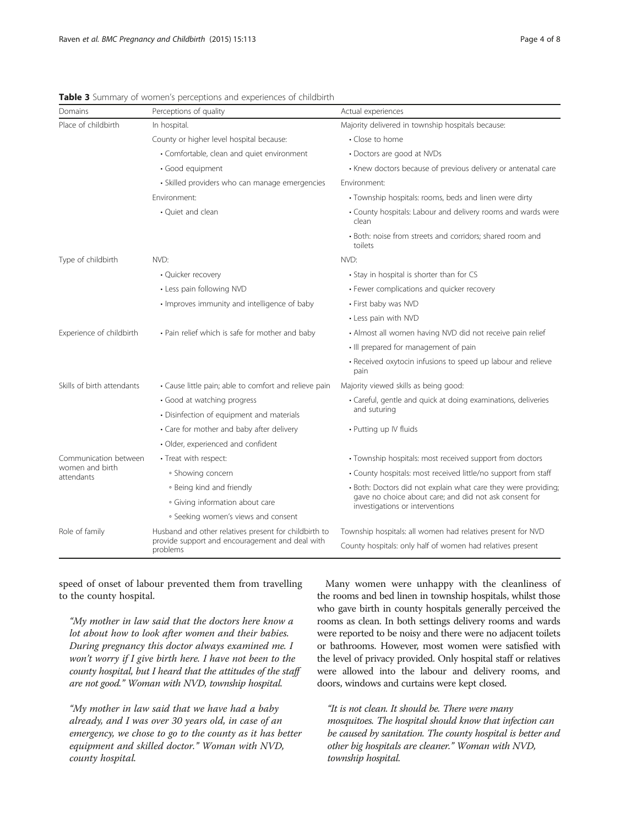| Domains                       | Perceptions of quality                                                                                               | Actual experiences                                                                                                                                          |  |
|-------------------------------|----------------------------------------------------------------------------------------------------------------------|-------------------------------------------------------------------------------------------------------------------------------------------------------------|--|
| Place of childbirth           | In hospital.                                                                                                         | Majority delivered in township hospitals because:                                                                                                           |  |
|                               | County or higher level hospital because:                                                                             | • Close to home                                                                                                                                             |  |
|                               | • Comfortable, clean and quiet environment                                                                           | • Doctors are good at NVDs                                                                                                                                  |  |
|                               | · Good equipment                                                                                                     | • Knew doctors because of previous delivery or antenatal care                                                                                               |  |
|                               | · Skilled providers who can manage emergencies                                                                       | Environment:                                                                                                                                                |  |
|                               | Fnvironment:                                                                                                         | • Township hospitals: rooms, beds and linen were dirty                                                                                                      |  |
|                               | • Quiet and clean                                                                                                    | • County hospitals: Labour and delivery rooms and wards were<br>clean                                                                                       |  |
|                               |                                                                                                                      | • Both: noise from streets and corridors; shared room and<br>toilets                                                                                        |  |
| Type of childbirth            | NVD:                                                                                                                 | NVD:                                                                                                                                                        |  |
|                               | • Quicker recovery                                                                                                   | • Stay in hospital is shorter than for CS                                                                                                                   |  |
|                               | • Less pain following NVD                                                                                            | • Fewer complications and quicker recovery                                                                                                                  |  |
|                               | · Improves immunity and intelligence of baby                                                                         | • First baby was NVD                                                                                                                                        |  |
|                               |                                                                                                                      | • Less pain with NVD                                                                                                                                        |  |
| Experience of childbirth      | • Pain relief which is safe for mother and baby                                                                      | • Almost all women having NVD did not receive pain relief                                                                                                   |  |
|                               |                                                                                                                      | . Ill prepared for management of pain                                                                                                                       |  |
|                               |                                                                                                                      | • Received oxytocin infusions to speed up labour and relieve<br>pain                                                                                        |  |
| Skills of birth attendants    | • Cause little pain; able to comfort and relieve pain                                                                | Majority viewed skills as being good:                                                                                                                       |  |
|                               | • Good at watching progress                                                                                          | • Careful, gentle and quick at doing examinations, deliveries<br>and suturing                                                                               |  |
|                               | • Disinfection of equipment and materials                                                                            |                                                                                                                                                             |  |
|                               | • Care for mother and baby after delivery                                                                            | • Putting up IV fluids                                                                                                                                      |  |
|                               | · Older, experienced and confident                                                                                   |                                                                                                                                                             |  |
| Communication between         | • Treat with respect:                                                                                                | • Township hospitals: most received support from doctors                                                                                                    |  |
| women and birth<br>attendants | • Showing concern                                                                                                    | • County hospitals: most received little/no support from staff                                                                                              |  |
|                               | • Being kind and friendly                                                                                            | • Both: Doctors did not explain what care they were providing;<br>gave no choice about care; and did not ask consent for<br>investigations or interventions |  |
|                               | • Giving information about care                                                                                      |                                                                                                                                                             |  |
|                               | · Seeking women's views and consent                                                                                  |                                                                                                                                                             |  |
| Role of family                | Husband and other relatives present for childbirth to<br>provide support and encouragement and deal with<br>problems | Township hospitals: all women had relatives present for NVD                                                                                                 |  |
|                               |                                                                                                                      | County hospitals: only half of women had relatives present                                                                                                  |  |

<span id="page-3-0"></span>Table 3 Summary of women's perceptions and experiences of childbirth

speed of onset of labour prevented them from travelling to the county hospital.

"My mother in law said that the doctors here know a lot about how to look after women and their babies. During pregnancy this doctor always examined me. I won't worry if I give birth here. I have not been to the county hospital, but I heard that the attitudes of the staff are not good." Woman with NVD, township hospital.

"My mother in law said that we have had a baby already, and I was over 30 years old, in case of an emergency, we chose to go to the county as it has better equipment and skilled doctor." Woman with NVD, county hospital.

Many women were unhappy with the cleanliness of the rooms and bed linen in township hospitals, whilst those who gave birth in county hospitals generally perceived the rooms as clean. In both settings delivery rooms and wards were reported to be noisy and there were no adjacent toilets or bathrooms. However, most women were satisfied with the level of privacy provided. Only hospital staff or relatives were allowed into the labour and delivery rooms, and doors, windows and curtains were kept closed.

"It is not clean. It should be. There were many mosquitoes. The hospital should know that infection can be caused by sanitation. The county hospital is better and other big hospitals are cleaner." Woman with NVD, township hospital.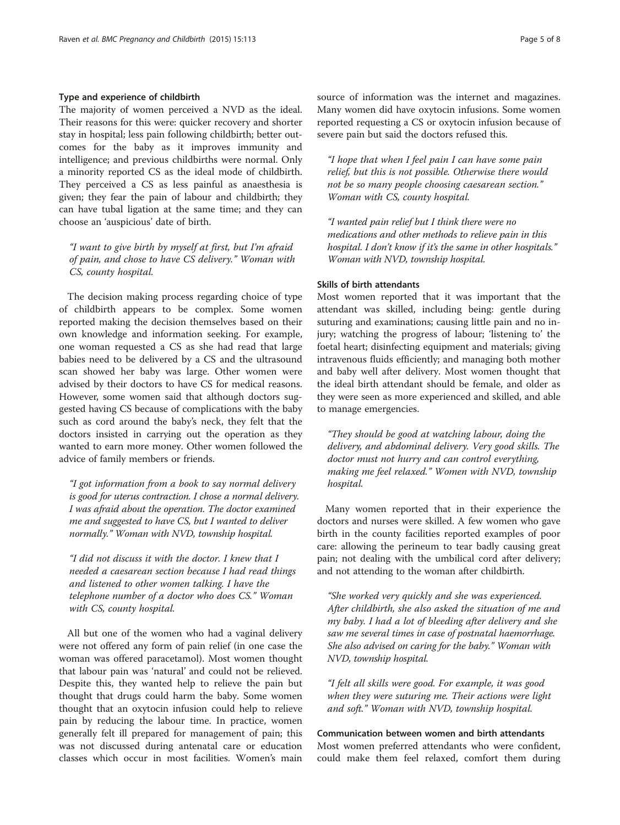#### Type and experience of childbirth

The majority of women perceived a NVD as the ideal. Their reasons for this were: quicker recovery and shorter stay in hospital; less pain following childbirth; better outcomes for the baby as it improves immunity and intelligence; and previous childbirths were normal. Only a minority reported CS as the ideal mode of childbirth. They perceived a CS as less painful as anaesthesia is given; they fear the pain of labour and childbirth; they can have tubal ligation at the same time; and they can choose an 'auspicious' date of birth.

"I want to give birth by myself at first, but I'm afraid of pain, and chose to have CS delivery." Woman with CS, county hospital.

The decision making process regarding choice of type of childbirth appears to be complex. Some women reported making the decision themselves based on their own knowledge and information seeking. For example, one woman requested a CS as she had read that large babies need to be delivered by a CS and the ultrasound scan showed her baby was large. Other women were advised by their doctors to have CS for medical reasons. However, some women said that although doctors suggested having CS because of complications with the baby such as cord around the baby's neck, they felt that the doctors insisted in carrying out the operation as they wanted to earn more money. Other women followed the advice of family members or friends.

"I got information from a book to say normal delivery is good for uterus contraction. I chose a normal delivery. I was afraid about the operation. The doctor examined me and suggested to have CS, but I wanted to deliver normally." Woman with NVD, township hospital.

"I did not discuss it with the doctor. I knew that I needed a caesarean section because I had read things and listened to other women talking. I have the telephone number of a doctor who does CS." Woman with CS, county hospital.

All but one of the women who had a vaginal delivery were not offered any form of pain relief (in one case the woman was offered paracetamol). Most women thought that labour pain was 'natural' and could not be relieved. Despite this, they wanted help to relieve the pain but thought that drugs could harm the baby. Some women thought that an oxytocin infusion could help to relieve pain by reducing the labour time. In practice, women generally felt ill prepared for management of pain; this was not discussed during antenatal care or education classes which occur in most facilities. Women's main source of information was the internet and magazines. Many women did have oxytocin infusions. Some women reported requesting a CS or oxytocin infusion because of severe pain but said the doctors refused this.

"I hope that when I feel pain I can have some pain relief, but this is not possible. Otherwise there would not be so many people choosing caesarean section." Woman with CS, county hospital.

"I wanted pain relief but I think there were no medications and other methods to relieve pain in this hospital. I don't know if it's the same in other hospitals." Woman with NVD, township hospital.

#### Skills of birth attendants

Most women reported that it was important that the attendant was skilled, including being: gentle during suturing and examinations; causing little pain and no injury; watching the progress of labour; 'listening to' the foetal heart; disinfecting equipment and materials; giving intravenous fluids efficiently; and managing both mother and baby well after delivery. Most women thought that the ideal birth attendant should be female, and older as they were seen as more experienced and skilled, and able to manage emergencies.

"They should be good at watching labour, doing the delivery, and abdominal delivery. Very good skills. The doctor must not hurry and can control everything, making me feel relaxed." Women with NVD, township hospital.

Many women reported that in their experience the doctors and nurses were skilled. A few women who gave birth in the county facilities reported examples of poor care: allowing the perineum to tear badly causing great pain; not dealing with the umbilical cord after delivery; and not attending to the woman after childbirth.

"She worked very quickly and she was experienced. After childbirth, she also asked the situation of me and my baby. I had a lot of bleeding after delivery and she saw me several times in case of postnatal haemorrhage. She also advised on caring for the baby." Woman with NVD, township hospital.

"I felt all skills were good. For example, it was good when they were suturing me. Their actions were light and soft." Woman with NVD, township hospital.

## Communication between women and birth attendants Most women preferred attendants who were confident, could make them feel relaxed, comfort them during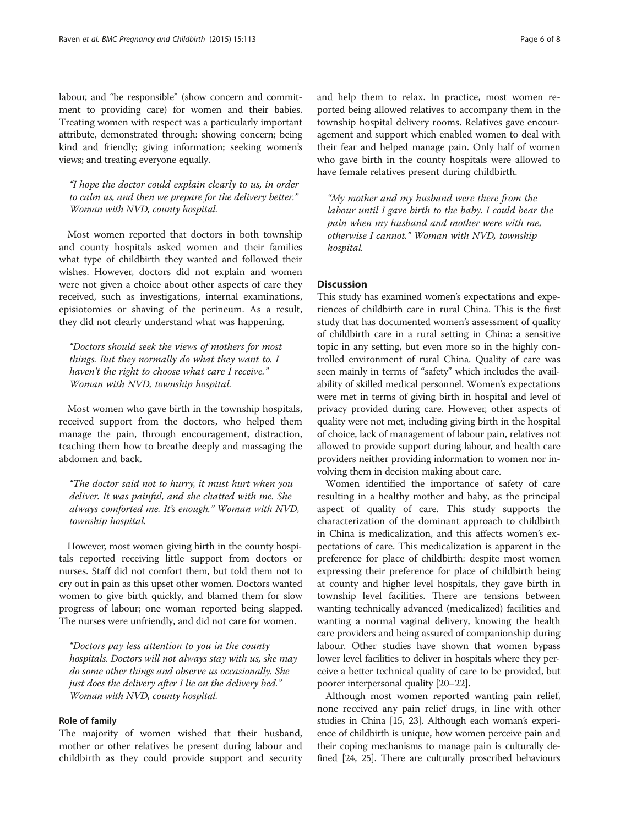labour, and "be responsible" (show concern and commitment to providing care) for women and their babies. Treating women with respect was a particularly important attribute, demonstrated through: showing concern; being kind and friendly; giving information; seeking women's views; and treating everyone equally.

"I hope the doctor could explain clearly to us, in order to calm us, and then we prepare for the delivery better." Woman with NVD, county hospital.

Most women reported that doctors in both township and county hospitals asked women and their families what type of childbirth they wanted and followed their wishes. However, doctors did not explain and women were not given a choice about other aspects of care they received, such as investigations, internal examinations, episiotomies or shaving of the perineum. As a result, they did not clearly understand what was happening.

"Doctors should seek the views of mothers for most things. But they normally do what they want to. I haven't the right to choose what care I receive." Woman with NVD, township hospital.

Most women who gave birth in the township hospitals, received support from the doctors, who helped them manage the pain, through encouragement, distraction, teaching them how to breathe deeply and massaging the abdomen and back.

"The doctor said not to hurry, it must hurt when you deliver. It was painful, and she chatted with me. She always comforted me. It's enough." Woman with NVD, township hospital.

However, most women giving birth in the county hospitals reported receiving little support from doctors or nurses. Staff did not comfort them, but told them not to cry out in pain as this upset other women. Doctors wanted women to give birth quickly, and blamed them for slow progress of labour; one woman reported being slapped. The nurses were unfriendly, and did not care for women.

"Doctors pay less attention to you in the county hospitals. Doctors will not always stay with us, she may do some other things and observe us occasionally. She just does the delivery after I lie on the delivery bed." Woman with NVD, county hospital.

## Role of family

The majority of women wished that their husband, mother or other relatives be present during labour and childbirth as they could provide support and security

and help them to relax. In practice, most women reported being allowed relatives to accompany them in the township hospital delivery rooms. Relatives gave encouragement and support which enabled women to deal with their fear and helped manage pain. Only half of women who gave birth in the county hospitals were allowed to have female relatives present during childbirth.

"My mother and my husband were there from the labour until I gave birth to the baby. I could bear the pain when my husband and mother were with me, otherwise I cannot." Woman with NVD, township hospital.

## **Discussion**

This study has examined women's expectations and experiences of childbirth care in rural China. This is the first study that has documented women's assessment of quality of childbirth care in a rural setting in China: a sensitive topic in any setting, but even more so in the highly controlled environment of rural China. Quality of care was seen mainly in terms of "safety" which includes the availability of skilled medical personnel. Women's expectations were met in terms of giving birth in hospital and level of privacy provided during care. However, other aspects of quality were not met, including giving birth in the hospital of choice, lack of management of labour pain, relatives not allowed to provide support during labour, and health care providers neither providing information to women nor involving them in decision making about care.

Women identified the importance of safety of care resulting in a healthy mother and baby, as the principal aspect of quality of care. This study supports the characterization of the dominant approach to childbirth in China is medicalization, and this affects women's expectations of care. This medicalization is apparent in the preference for place of childbirth: despite most women expressing their preference for place of childbirth being at county and higher level hospitals, they gave birth in township level facilities. There are tensions between wanting technically advanced (medicalized) facilities and wanting a normal vaginal delivery, knowing the health care providers and being assured of companionship during labour. Other studies have shown that women bypass lower level facilities to deliver in hospitals where they perceive a better technical quality of care to be provided, but poorer interpersonal quality [[20](#page-7-0)–[22\]](#page-7-0).

Although most women reported wanting pain relief, none received any pain relief drugs, in line with other studies in China [\[15, 23](#page-7-0)]. Although each woman's experience of childbirth is unique, how women perceive pain and their coping mechanisms to manage pain is culturally defined [[24, 25\]](#page-7-0). There are culturally proscribed behaviours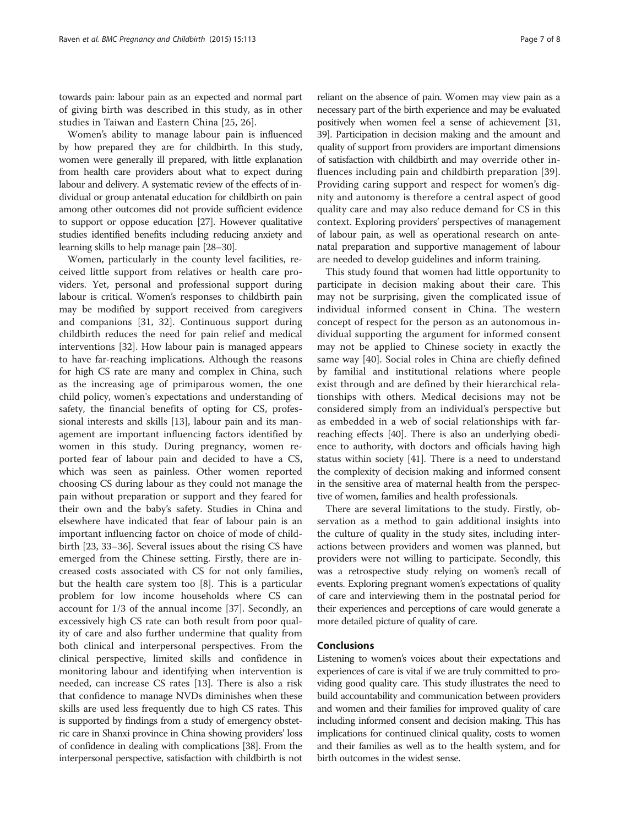towards pain: labour pain as an expected and normal part of giving birth was described in this study, as in other studies in Taiwan and Eastern China [[25](#page-7-0), [26](#page-7-0)].

Women's ability to manage labour pain is influenced by how prepared they are for childbirth. In this study, women were generally ill prepared, with little explanation from health care providers about what to expect during labour and delivery. A systematic review of the effects of individual or group antenatal education for childbirth on pain among other outcomes did not provide sufficient evidence to support or oppose education [\[27\]](#page-7-0). However qualitative studies identified benefits including reducing anxiety and learning skills to help manage pain [\[28](#page-7-0)–[30\]](#page-7-0).

Women, particularly in the county level facilities, received little support from relatives or health care providers. Yet, personal and professional support during labour is critical. Women's responses to childbirth pain may be modified by support received from caregivers and companions [\[31](#page-7-0), [32\]](#page-7-0). Continuous support during childbirth reduces the need for pain relief and medical interventions [\[32](#page-7-0)]. How labour pain is managed appears to have far-reaching implications. Although the reasons for high CS rate are many and complex in China, such as the increasing age of primiparous women, the one child policy, women's expectations and understanding of safety, the financial benefits of opting for CS, professional interests and skills [[13](#page-7-0)], labour pain and its management are important influencing factors identified by women in this study. During pregnancy, women reported fear of labour pain and decided to have a CS, which was seen as painless. Other women reported choosing CS during labour as they could not manage the pain without preparation or support and they feared for their own and the baby's safety. Studies in China and elsewhere have indicated that fear of labour pain is an important influencing factor on choice of mode of childbirth [[23](#page-7-0), [33](#page-7-0)–[36](#page-7-0)]. Several issues about the rising CS have emerged from the Chinese setting. Firstly, there are increased costs associated with CS for not only families, but the health care system too [\[8\]](#page-7-0). This is a particular problem for low income households where CS can account for 1/3 of the annual income [[37\]](#page-7-0). Secondly, an excessively high CS rate can both result from poor quality of care and also further undermine that quality from both clinical and interpersonal perspectives. From the clinical perspective, limited skills and confidence in monitoring labour and identifying when intervention is needed, can increase CS rates [[13](#page-7-0)]. There is also a risk that confidence to manage NVDs diminishes when these skills are used less frequently due to high CS rates. This is supported by findings from a study of emergency obstetric care in Shanxi province in China showing providers' loss of confidence in dealing with complications [\[38](#page-7-0)]. From the interpersonal perspective, satisfaction with childbirth is not

reliant on the absence of pain. Women may view pain as a necessary part of the birth experience and may be evaluated positively when women feel a sense of achievement [\[31](#page-7-0), [39](#page-7-0)]. Participation in decision making and the amount and quality of support from providers are important dimensions of satisfaction with childbirth and may override other influences including pain and childbirth preparation [[39](#page-7-0)]. Providing caring support and respect for women's dignity and autonomy is therefore a central aspect of good quality care and may also reduce demand for CS in this context. Exploring providers' perspectives of management of labour pain, as well as operational research on antenatal preparation and supportive management of labour are needed to develop guidelines and inform training.

This study found that women had little opportunity to participate in decision making about their care. This may not be surprising, given the complicated issue of individual informed consent in China. The western concept of respect for the person as an autonomous individual supporting the argument for informed consent may not be applied to Chinese society in exactly the same way [[40\]](#page-7-0). Social roles in China are chiefly defined by familial and institutional relations where people exist through and are defined by their hierarchical relationships with others. Medical decisions may not be considered simply from an individual's perspective but as embedded in a web of social relationships with farreaching effects [[40](#page-7-0)]. There is also an underlying obedience to authority, with doctors and officials having high status within society [[41](#page-7-0)]. There is a need to understand the complexity of decision making and informed consent in the sensitive area of maternal health from the perspective of women, families and health professionals.

There are several limitations to the study. Firstly, observation as a method to gain additional insights into the culture of quality in the study sites, including interactions between providers and women was planned, but providers were not willing to participate. Secondly, this was a retrospective study relying on women's recall of events. Exploring pregnant women's expectations of quality of care and interviewing them in the postnatal period for their experiences and perceptions of care would generate a more detailed picture of quality of care.

## **Conclusions**

Listening to women's voices about their expectations and experiences of care is vital if we are truly committed to providing good quality care. This study illustrates the need to build accountability and communication between providers and women and their families for improved quality of care including informed consent and decision making. This has implications for continued clinical quality, costs to women and their families as well as to the health system, and for birth outcomes in the widest sense.